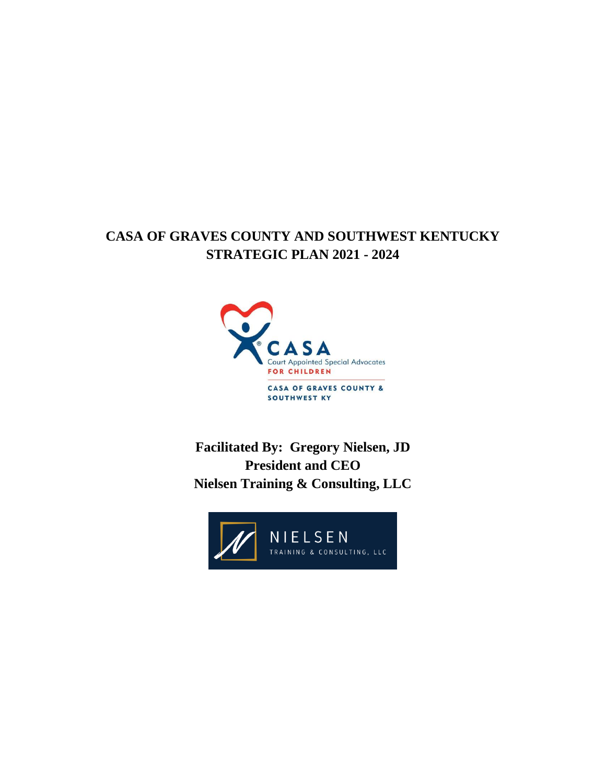# **CASA OF GRAVES COUNTY AND SOUTHWEST KENTUCKY STRATEGIC PLAN 2021 - 2024**



**Facilitated By: Gregory Nielsen, JD President and CEO Nielsen Training & Consulting, LLC**

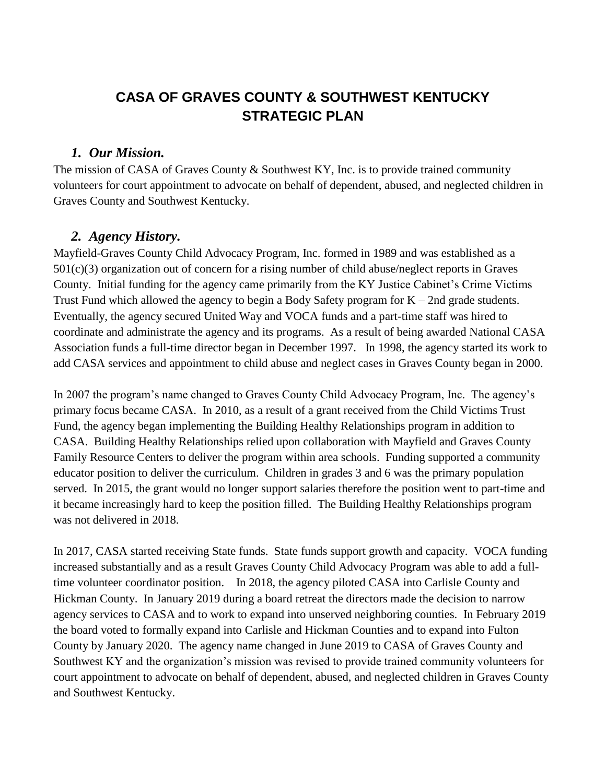# **CASA OF GRAVES COUNTY & SOUTHWEST KENTUCKY STRATEGIC PLAN**

#### *1. Our Mission.*

The mission of CASA of Graves County & Southwest KY, Inc. is to provide trained community volunteers for court appointment to advocate on behalf of dependent, abused, and neglected children in Graves County and Southwest Kentucky.

#### *2. Agency History.*

Mayfield-Graves County Child Advocacy Program, Inc. formed in 1989 and was established as a 501(c)(3) organization out of concern for a rising number of child abuse/neglect reports in Graves County. Initial funding for the agency came primarily from the KY Justice Cabinet's Crime Victims Trust Fund which allowed the agency to begin a Body Safety program for  $K - 2nd$  grade students. Eventually, the agency secured United Way and VOCA funds and a part-time staff was hired to coordinate and administrate the agency and its programs. As a result of being awarded National CASA Association funds a full-time director began in December 1997. In 1998, the agency started its work to add CASA services and appointment to child abuse and neglect cases in Graves County began in 2000.

In 2007 the program's name changed to Graves County Child Advocacy Program, Inc. The agency's primary focus became CASA. In 2010, as a result of a grant received from the Child Victims Trust Fund, the agency began implementing the Building Healthy Relationships program in addition to CASA. Building Healthy Relationships relied upon collaboration with Mayfield and Graves County Family Resource Centers to deliver the program within area schools. Funding supported a community educator position to deliver the curriculum. Children in grades 3 and 6 was the primary population served. In 2015, the grant would no longer support salaries therefore the position went to part-time and it became increasingly hard to keep the position filled. The Building Healthy Relationships program was not delivered in 2018.

In 2017, CASA started receiving State funds. State funds support growth and capacity. VOCA funding increased substantially and as a result Graves County Child Advocacy Program was able to add a fulltime volunteer coordinator position. In 2018, the agency piloted CASA into Carlisle County and Hickman County. In January 2019 during a board retreat the directors made the decision to narrow agency services to CASA and to work to expand into unserved neighboring counties. In February 2019 the board voted to formally expand into Carlisle and Hickman Counties and to expand into Fulton County by January 2020. The agency name changed in June 2019 to CASA of Graves County and Southwest KY and the organization's mission was revised to provide trained community volunteers for court appointment to advocate on behalf of dependent, abused, and neglected children in Graves County and Southwest Kentucky.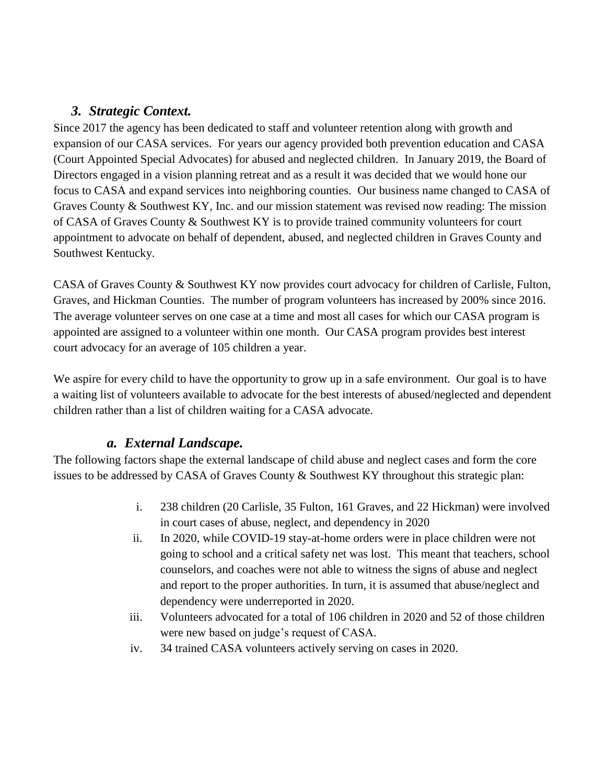#### *3. Strategic Context.*

Since 2017 the agency has been dedicated to staff and volunteer retention along with growth and expansion of our CASA services. For years our agency provided both prevention education and CASA (Court Appointed Special Advocates) for abused and neglected children. In January 2019, the Board of Directors engaged in a vision planning retreat and as a result it was decided that we would hone our focus to CASA and expand services into neighboring counties. Our business name changed to CASA of Graves County & Southwest KY, Inc. and our mission statement was revised now reading: The mission of CASA of Graves County & Southwest KY is to provide trained community volunteers for court appointment to advocate on behalf of dependent, abused, and neglected children in Graves County and Southwest Kentucky.

CASA of Graves County & Southwest KY now provides court advocacy for children of Carlisle, Fulton, Graves, and Hickman Counties. The number of program volunteers has increased by 200% since 2016. The average volunteer serves on one case at a time and most all cases for which our CASA program is appointed are assigned to a volunteer within one month. Our CASA program provides best interest court advocacy for an average of 105 children a year.

We aspire for every child to have the opportunity to grow up in a safe environment. Our goal is to have a waiting list of volunteers available to advocate for the best interests of abused/neglected and dependent children rather than a list of children waiting for a CASA advocate.

#### *a. External Landscape.*

The following factors shape the external landscape of child abuse and neglect cases and form the core issues to be addressed by CASA of Graves County & Southwest KY throughout this strategic plan:

- i. 238 children (20 Carlisle, 35 Fulton, 161 Graves, and 22 Hickman) were involved in court cases of abuse, neglect, and dependency in 2020
- ii. In 2020, while COVID-19 stay-at-home orders were in place children were not going to school and a critical safety net was lost. This meant that teachers, school counselors, and coaches were not able to witness the signs of abuse and neglect and report to the proper authorities. In turn, it is assumed that abuse/neglect and dependency were underreported in 2020.
- iii. Volunteers advocated for a total of 106 children in 2020 and 52 of those children were new based on judge's request of CASA.
- iv. 34 trained CASA volunteers actively serving on cases in 2020.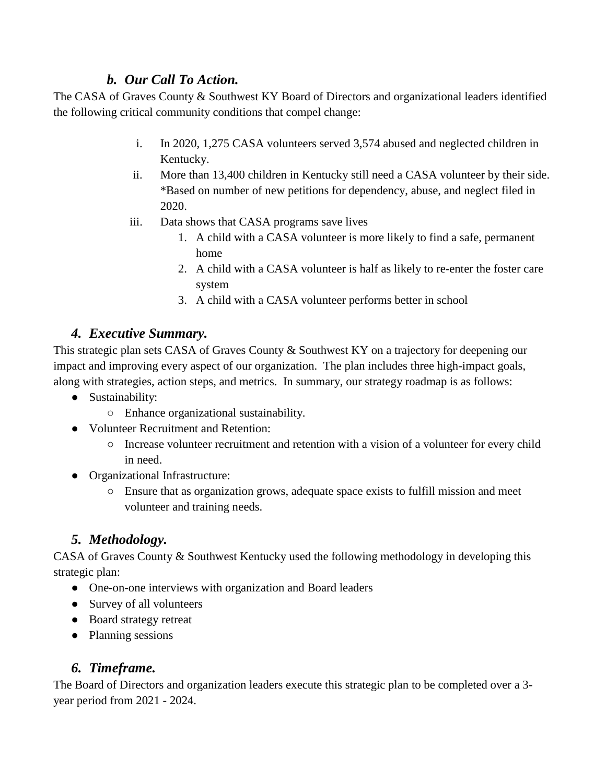#### *b. Our Call To Action.*

The CASA of Graves County & Southwest KY Board of Directors and organizational leaders identified the following critical community conditions that compel change:

- i. In 2020, 1,275 CASA volunteers served 3,574 abused and neglected children in Kentucky.
- ii. More than 13,400 children in Kentucky still need a CASA volunteer by their side. \*Based on number of new petitions for dependency, abuse, and neglect filed in 2020.
- iii. Data shows that CASA programs save lives
	- 1. A child with a CASA volunteer is more likely to find a safe, permanent home
	- 2. A child with a CASA volunteer is half as likely to re-enter the foster care system
	- 3. A child with a CASA volunteer performs better in school

## *4. Executive Summary.*

This strategic plan sets CASA of Graves County & Southwest KY on a trajectory for deepening our impact and improving every aspect of our organization. The plan includes three high-impact goals, along with strategies, action steps, and metrics. In summary, our strategy roadmap is as follows:

- Sustainability:
	- Enhance organizational sustainability.
- Volunteer Recruitment and Retention:
	- Increase volunteer recruitment and retention with a vision of a volunteer for every child in need.
- Organizational Infrastructure:
	- Ensure that as organization grows, adequate space exists to fulfill mission and meet volunteer and training needs.

# *5. Methodology.*

CASA of Graves County & Southwest Kentucky used the following methodology in developing this strategic plan:

- One-on-one interviews with organization and Board leaders
- Survey of all volunteers
- Board strategy retreat
- Planning sessions

#### *6. Timeframe.*

The Board of Directors and organization leaders execute this strategic plan to be completed over a 3 year period from 2021 - 2024.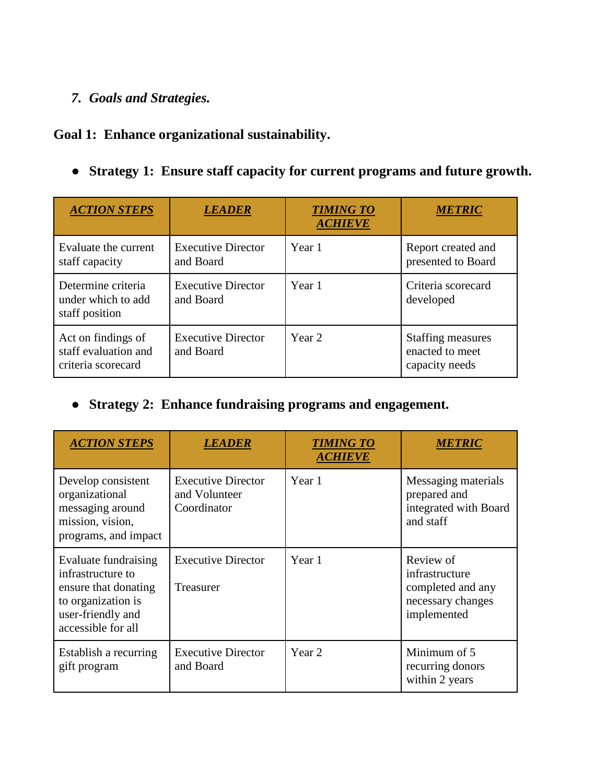## *7. Goals and Strategies.*

## **Goal 1: Enhance organizational sustainability.**

● **Strategy 1: Ensure staff capacity for current programs and future growth.** 

| <b>ACTION STEPS</b>                                              | <b>LEADER</b>                          | <b>TIMING TO</b><br><b>ACHIEVE</b> | <b>METRIC</b>                                                 |
|------------------------------------------------------------------|----------------------------------------|------------------------------------|---------------------------------------------------------------|
| Evaluate the current<br>staff capacity                           | <b>Executive Director</b><br>and Board | Year 1                             | Report created and<br>presented to Board                      |
| Determine criteria<br>under which to add<br>staff position       | <b>Executive Director</b><br>and Board | Year 1                             | Criteria scorecard<br>developed                               |
| Act on findings of<br>staff evaluation and<br>criteria scorecard | <b>Executive Director</b><br>and Board | Year 2                             | <b>Staffing measures</b><br>enacted to meet<br>capacity needs |

## ● **Strategy 2: Enhance fundraising programs and engagement.**

| <b>ACTION STEPS</b>                                                                                                                | <i>LEADER</i>                                             | <b>TIMING TO</b><br><b>ACHIEVE</b> | <i><b>METRIC</b></i>                                                                 |
|------------------------------------------------------------------------------------------------------------------------------------|-----------------------------------------------------------|------------------------------------|--------------------------------------------------------------------------------------|
| Develop consistent<br>organizational<br>messaging around<br>mission, vision,<br>programs, and impact                               | <b>Executive Director</b><br>and Volunteer<br>Coordinator | Year 1                             | Messaging materials<br>prepared and<br>integrated with Board<br>and staff            |
| Evaluate fundraising<br>infrastructure to<br>ensure that donating<br>to organization is<br>user-friendly and<br>accessible for all | <b>Executive Director</b><br>Treasurer                    | Year 1                             | Review of<br>infrastructure<br>completed and any<br>necessary changes<br>implemented |
| Establish a recurring<br>gift program                                                                                              | <b>Executive Director</b><br>and Board                    | Year 2                             | Minimum of 5<br>recurring donors<br>within 2 years                                   |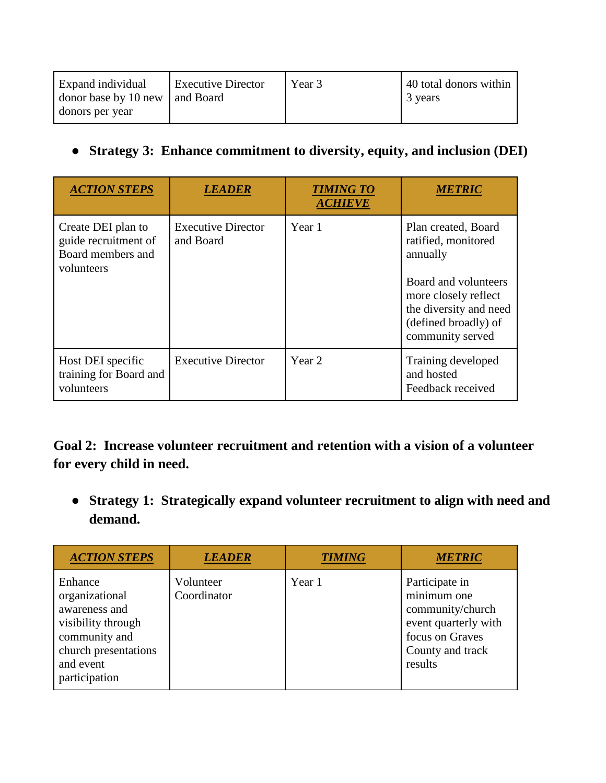| <b>Expand</b> individual<br>donor base by 10 new   and Board | <b>Executive Director</b> | Year 3 | 40 total donors within<br>3 years |
|--------------------------------------------------------------|---------------------------|--------|-----------------------------------|
| donors per year                                              |                           |        |                                   |

● **Strategy 3: Enhance commitment to diversity, equity, and inclusion (DEI)**

| <b>ACTION STEPS</b>                                                           | <b>LEADER</b>                          | <b>TIMING TO</b><br><b>ACHIEVE</b> | <b>METRIC</b>                                                                                                                                                                |
|-------------------------------------------------------------------------------|----------------------------------------|------------------------------------|------------------------------------------------------------------------------------------------------------------------------------------------------------------------------|
| Create DEI plan to<br>guide recruitment of<br>Board members and<br>volunteers | <b>Executive Director</b><br>and Board | Year 1                             | Plan created, Board<br>ratified, monitored<br>annually<br>Board and volunteers<br>more closely reflect<br>the diversity and need<br>(defined broadly) of<br>community served |
| Host DEI specific<br>training for Board and<br>volunteers                     | <b>Executive Director</b>              | Year 2                             | Training developed<br>and hosted<br>Feedback received                                                                                                                        |

**Goal 2: Increase volunteer recruitment and retention with a vision of a volunteer for every child in need.**

● **Strategy 1: Strategically expand volunteer recruitment to align with need and demand.**

| <b>ACTION STEPS</b>                                                                                                                     | <b>LEADER</b>            | <b>TIMING</b> | <b>METRIC</b>                                                                                                               |
|-----------------------------------------------------------------------------------------------------------------------------------------|--------------------------|---------------|-----------------------------------------------------------------------------------------------------------------------------|
| Enhance<br>organizational<br>awareness and<br>visibility through<br>community and<br>church presentations<br>and event<br>participation | Volunteer<br>Coordinator | Year 1        | Participate in<br>minimum one<br>community/church<br>event quarterly with<br>focus on Graves<br>County and track<br>results |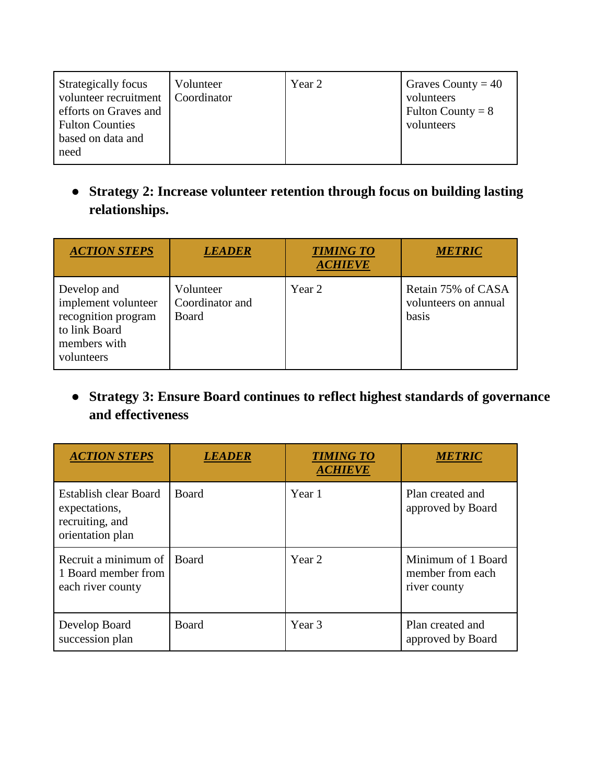| Strategically focus<br>volunteer recruitment   Coordinator<br>efforts on Graves and<br><b>Fulton Counties</b><br>based on data and<br>need | Volunteer | Year 2 | Graves County = $40$<br>volunteers<br>Fulton County = $8$<br>volunteers |
|--------------------------------------------------------------------------------------------------------------------------------------------|-----------|--------|-------------------------------------------------------------------------|
|--------------------------------------------------------------------------------------------------------------------------------------------|-----------|--------|-------------------------------------------------------------------------|

● **Strategy 2: Increase volunteer retention through focus on building lasting relationships.**

| <b>ACTION STEPS</b>                                                                                      | <b>LEADER</b>                         | <b>TIMING TO</b><br><b>ACHIEVE</b> | <b>METRIC</b>                                       |
|----------------------------------------------------------------------------------------------------------|---------------------------------------|------------------------------------|-----------------------------------------------------|
| Develop and<br>implement volunteer<br>recognition program<br>to link Board<br>members with<br>volunteers | Volunteer<br>Coordinator and<br>Board | Year 2                             | Retain 75% of CASA<br>volunteers on annual<br>basis |

● **Strategy 3: Ensure Board continues to reflect highest standards of governance and effectiveness**

| <b>ACTION STEPS</b>                                                                  | <b>LEADER</b> | <b>TIMING TO</b><br><b>ACHIEVE</b> | <b>METRIC</b>                                          |
|--------------------------------------------------------------------------------------|---------------|------------------------------------|--------------------------------------------------------|
| <b>Establish clear Board</b><br>expectations,<br>recruiting, and<br>orientation plan | Board         | Year 1                             | Plan created and<br>approved by Board                  |
| Recruit a minimum of<br>1 Board member from<br>each river county                     | Board         | Year 2                             | Minimum of 1 Board<br>member from each<br>river county |
| Develop Board<br>succession plan                                                     | Board         | Year <sub>3</sub>                  | Plan created and<br>approved by Board                  |